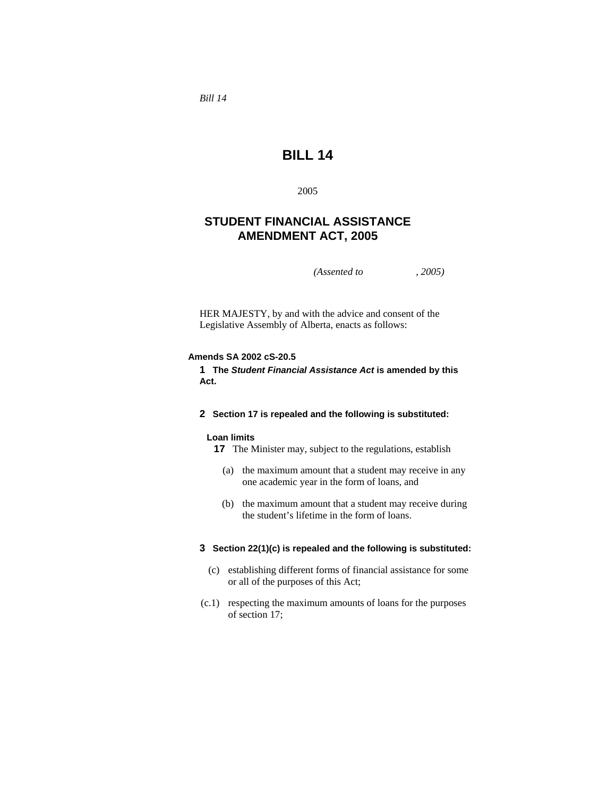*Bill 14* 

# **BILL 14**

2005

## **STUDENT FINANCIAL ASSISTANCE AMENDMENT ACT, 2005**

*(Assented to , 2005)* 

HER MAJESTY, by and with the advice and consent of the Legislative Assembly of Alberta, enacts as follows:

## **Amends SA 2002 cS-20.5**

**1 The** *Student Financial Assistance Act* **is amended by this Act.**

## **2 Section 17 is repealed and the following is substituted:**

#### **Loan limits**

- **17** The Minister may, subject to the regulations, establish
	- (a) the maximum amount that a student may receive in any one academic year in the form of loans, and
	- (b) the maximum amount that a student may receive during the student's lifetime in the form of loans.

## **3 Section 22(1)(c) is repealed and the following is substituted:**

- (c) establishing different forms of financial assistance for some or all of the purposes of this Act;
- (c.1) respecting the maximum amounts of loans for the purposes of section 17;